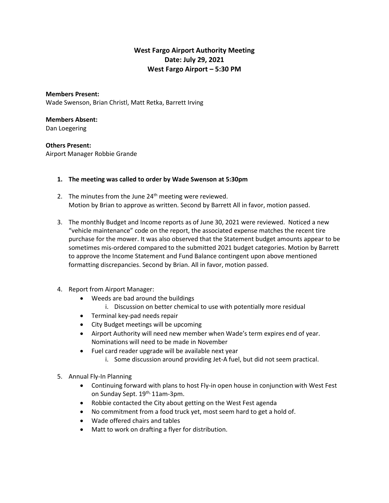## **West Fargo Airport Authority Meeting Date: July 29, 2021 West Fargo Airport – 5:30 PM**

**Members Present:** Wade Swenson, Brian Christl, Matt Retka, Barrett Irving

## **Members Absent:**

Dan Loegering

## **Others Present:**

Airport Manager Robbie Grande

## **1. The meeting was called to order by Wade Swenson at 5:30pm**

- 2. The minutes from the June  $24<sup>th</sup>$  meeting were reviewed. Motion by Brian to approve as written. Second by Barrett All in favor, motion passed.
- 3. The monthly Budget and Income reports as of June 30, 2021 were reviewed. Noticed a new "vehicle maintenance" code on the report, the associated expense matches the recent tire purchase for the mower. It was also observed that the Statement budget amounts appear to be sometimes mis-ordered compared to the submitted 2021 budget categories. Motion by Barrett to approve the Income Statement and Fund Balance contingent upon above mentioned formatting discrepancies. Second by Brian. All in favor, motion passed.
- 4. Report from Airport Manager:
	- Weeds are bad around the buildings
		- i. Discussion on better chemical to use with potentially more residual
	- Terminal key-pad needs repair
	- City Budget meetings will be upcoming
	- Airport Authority will need new member when Wade's term expires end of year. Nominations will need to be made in November
	- Fuel card reader upgrade will be available next year
		- i. Some discussion around providing Jet-A fuel, but did not seem practical.
- 5. Annual Fly-In Planning
	- Continuing forward with plans to host Fly-in open house in conjunction with West Fest on Sunday Sept. 19<sup>th,</sup> 11am-3pm.
	- Robbie contacted the City about getting on the West Fest agenda
	- No commitment from a food truck yet, most seem hard to get a hold of.
	- Wade offered chairs and tables
	- Matt to work on drafting a flyer for distribution.